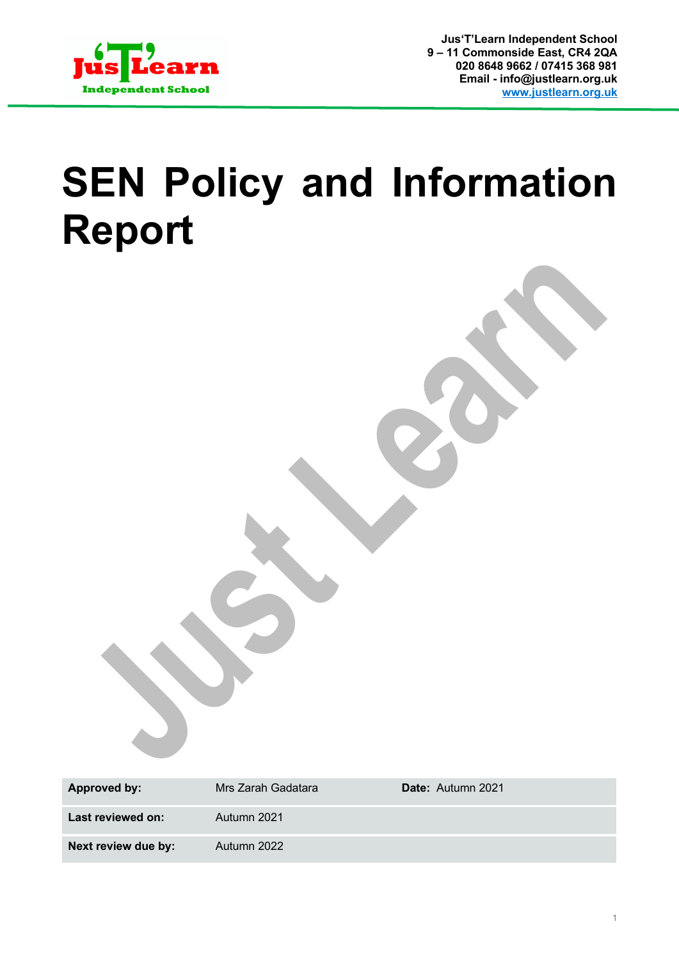

# **SEN Policy and Information Report**

| <b>Approved by:</b> | Mrs Zarah Gadatara | Date: Autumn 2021 |
|---------------------|--------------------|-------------------|
| Last reviewed on:   | Autumn 2021        |                   |
| Next review due by: | Autumn 2022        |                   |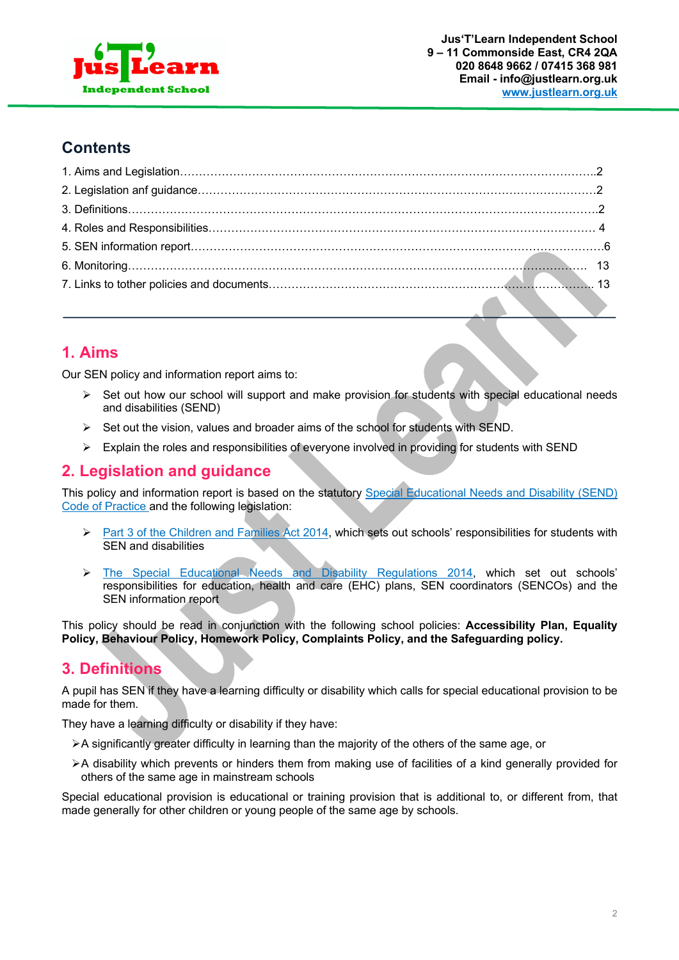

# **Contents**

# **1. Aims**

Our SEN policy and information report aims to:

- $\geq$  Set out how our school will support and make provision for students with special educational needs and disabilities (SEND)
- $\triangleright$  Set out the vision, values and broader aims of the school for students with SEND.
- $\triangleright$  Explain the roles and responsibilities of everyone involved in providing for students with SEND

# **2. Legislation and guidance**

This policy and information report is based on the statutory Special Educational Needs and Disability (SEND) Code of Practice and the following legislation:

- Ø Part 3 of the Children and Families Act 2014, which sets out schools' responsibilities for students with SEN and disabilities
- Ø The Special Educational Needs and Disability Regulations 2014, which set out schools' responsibilities for education, health and care (EHC) plans, SEN coordinators (SENCOs) and the SEN information report

This policy should be read in conjunction with the following school policies: **Accessibility Plan, Equality Policy, Behaviour Policy, Homework Policy, Complaints Policy, and the Safeguarding policy.**

# **3. Definitions**

A pupil has SEN if they have a learning difficulty or disability which calls for special educational provision to be made for them.

They have a learning difficulty or disability if they have:

- $\triangleright$  A significantly greater difficulty in learning than the majority of the others of the same age, or
- ØA disability which prevents or hinders them from making use of facilities of a kind generally provided for others of the same age in mainstream schools

Special educational provision is educational or training provision that is additional to, or different from, that made generally for other children or young people of the same age by schools.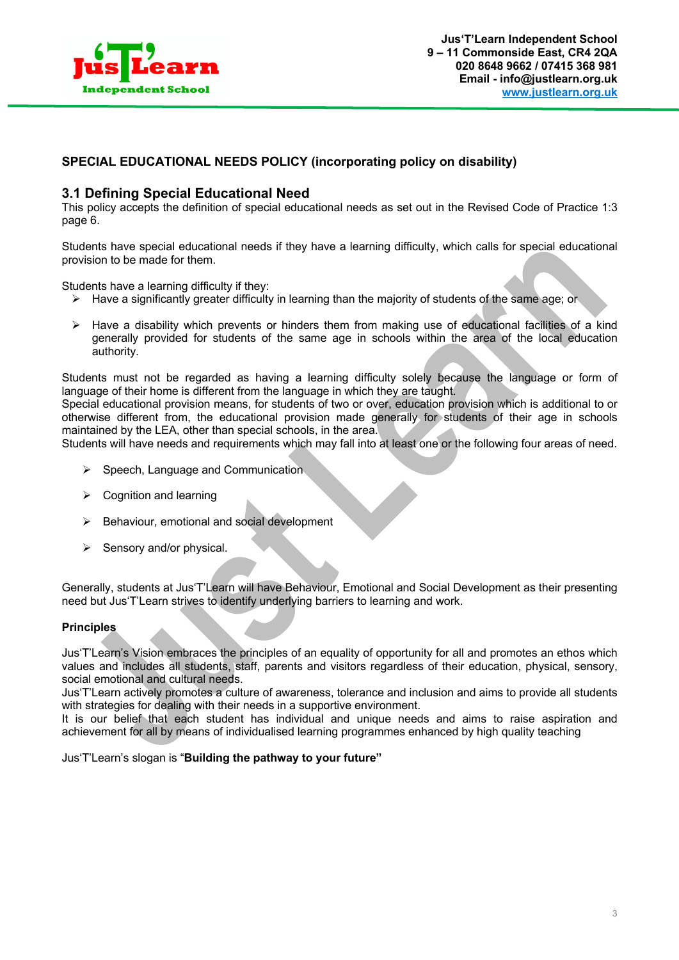

## **SPECIAL EDUCATIONAL NEEDS POLICY (incorporating policy on disability)**

## **3.1 Defining Special Educational Need**

This policy accepts the definition of special educational needs as set out in the Revised Code of Practice 1:3 page 6.

Students have special educational needs if they have a learning difficulty, which calls for special educational provision to be made for them.

Students have a learning difficulty if they:

- $\triangleright$  Have a significantly greater difficulty in learning than the majority of students of the same age; or
- $\triangleright$  Have a disability which prevents or hinders them from making use of educational facilities of a kind generally provided for students of the same age in schools within the area of the local education authority.

Students must not be regarded as having a learning difficulty solely because the language or form of language of their home is different from the language in which they are taught.

Special educational provision means, for students of two or over, education provision which is additional to or otherwise different from, the educational provision made generally for students of their age in schools maintained by the LEA, other than special schools, in the area.

Students will have needs and requirements which may fall into at least one or the following four areas of need.

- $\triangleright$  Speech, Language and Communication
- $\triangleright$  Cognition and learning
- $\triangleright$  Behaviour, emotional and social development
- $\triangleright$  Sensory and/or physical.

Generally, students at Jus'T'Learn will have Behaviour, Emotional and Social Development as their presenting need but Jus'T'Learn strives to identify underlying barriers to learning and work.

#### **Principles**

Jus'T'Learn's Vision embraces the principles of an equality of opportunity for all and promotes an ethos which values and includes all students, staff, parents and visitors regardless of their education, physical, sensory, social emotional and cultural needs.

Jus'T'Learn actively promotes a culture of awareness, tolerance and inclusion and aims to provide all students with strategies for dealing with their needs in a supportive environment.

It is our belief that each student has individual and unique needs and aims to raise aspiration and achievement for all by means of individualised learning programmes enhanced by high quality teaching

Jus'T'Learn's slogan is "**Building the pathway to your future"**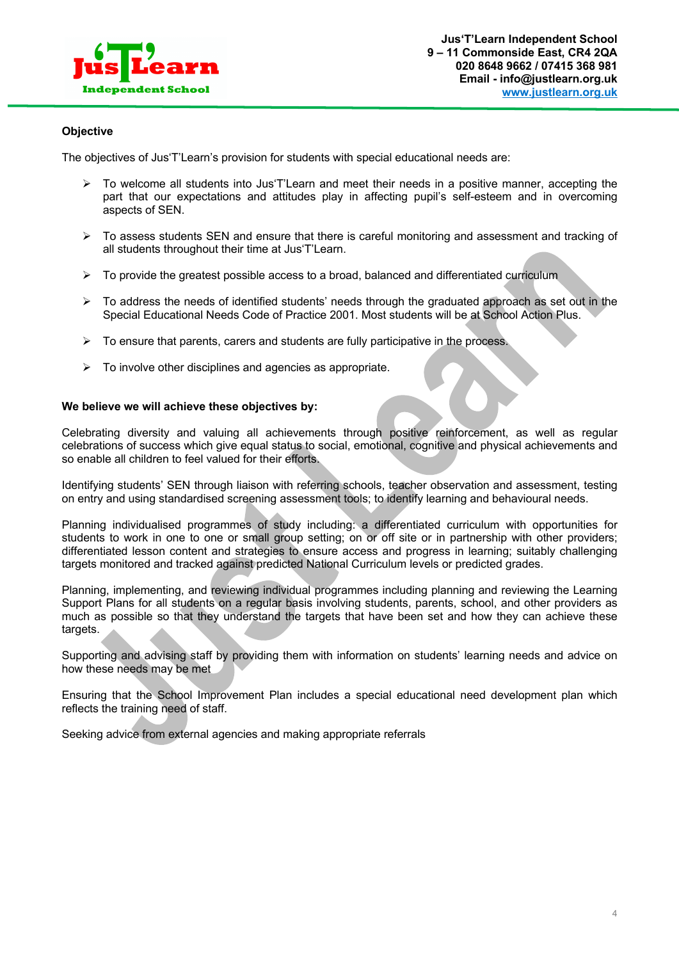

#### **Objective**

The objectives of Jus'T'Learn's provision for students with special educational needs are:

- $\triangleright$  To welcome all students into Jus'T'Learn and meet their needs in a positive manner, accepting the part that our expectations and attitudes play in affecting pupil's self-esteem and in overcoming aspects of SEN.
- $\triangleright$  To assess students SEN and ensure that there is careful monitoring and assessment and tracking of all students throughout their time at Jus'T'Learn.
- $\triangleright$  To provide the greatest possible access to a broad, balanced and differentiated curriculum
- $\triangleright$  To address the needs of identified students' needs through the graduated approach as set out in the Special Educational Needs Code of Practice 2001. Most students will be at School Action Plus.
- $\triangleright$  To ensure that parents, carers and students are fully participative in the process.
- $\triangleright$  To involve other disciplines and agencies as appropriate.

#### **We believe we will achieve these objectives by:**

Celebrating diversity and valuing all achievements through positive reinforcement, as well as regular celebrations of success which give equal status to social, emotional, cognitive and physical achievements and so enable all children to feel valued for their efforts.

Identifying students' SEN through liaison with referring schools, teacher observation and assessment, testing on entry and using standardised screening assessment tools; to identify learning and behavioural needs.

Planning individualised programmes of study including: a differentiated curriculum with opportunities for students to work in one to one or small group setting; on or off site or in partnership with other providers; differentiated lesson content and strategies to ensure access and progress in learning; suitably challenging targets monitored and tracked against predicted National Curriculum levels or predicted grades.

Planning, implementing, and reviewing individual programmes including planning and reviewing the Learning Support Plans for all students on a regular basis involving students, parents, school, and other providers as much as possible so that they understand the targets that have been set and how they can achieve these targets.

Supporting and advising staff by providing them with information on students' learning needs and advice on how these needs may be met

Ensuring that the School Improvement Plan includes a special educational need development plan which reflects the training need of staff.

Seeking advice from external agencies and making appropriate referrals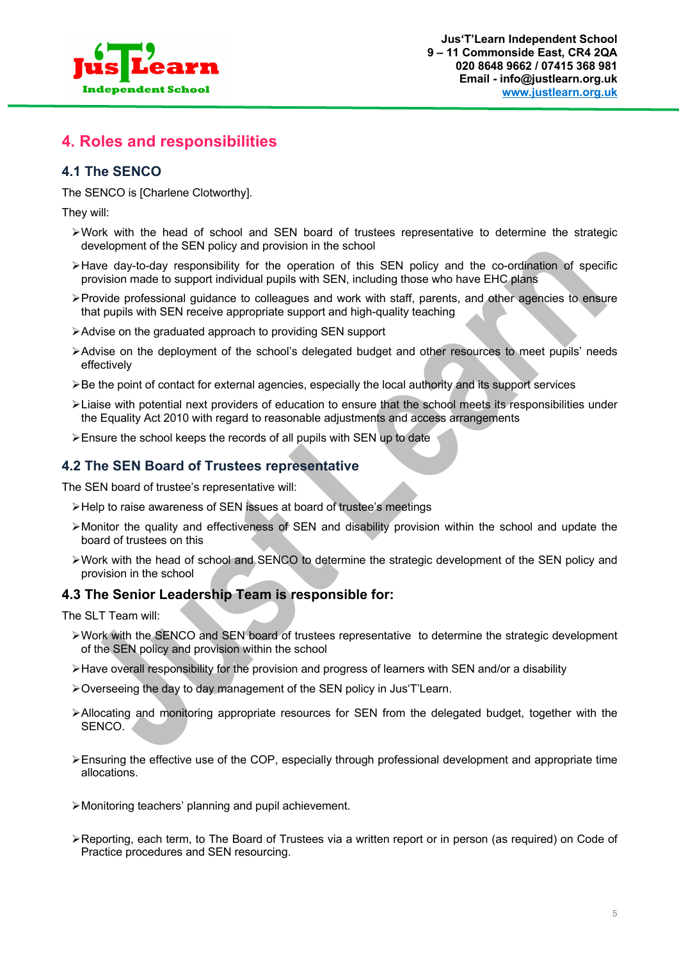

# **4. Roles and responsibilities**

# **4.1 The SENCO**

The SENCO is [Charlene Clotworthy].

They will:

- $\triangleright$ Work with the head of school and SEN board of trustees representative to determine the strategic development of the SEN policy and provision in the school
- $\blacktriangleright$  Have day-to-day responsibility for the operation of this SEN policy and the co-ordination of specific provision made to support individual pupils with SEN, including those who have EHC plans
- ØProvide professional guidance to colleagues and work with staff, parents, and other agencies to ensure that pupils with SEN receive appropriate support and high-quality teaching
- ØAdvise on the graduated approach to providing SEN support
- ØAdvise on the deployment of the school's delegated budget and other resources to meet pupils' needs effectively
- $\triangleright$  Be the point of contact for external agencies, especially the local authority and its support services
- ØLiaise with potential next providers of education to ensure that the school meets its responsibilities under the Equality Act 2010 with regard to reasonable adjustments and access arrangements
- ØEnsure the school keeps the records of all pupils with SEN up to date

# **4.2 The SEN Board of Trustees representative**

The SEN board of trustee's representative will:

- ØHelp to raise awareness of SEN issues at board of trustee's meetings
- $\triangleright$  Monitor the quality and effectiveness of SEN and disability provision within the school and update the board of trustees on this
- $\triangleright$  Work with the head of school and SENCO to determine the strategic development of the SEN policy and provision in the school

# **4.3 The Senior Leadership Team is responsible for:**

The SLT Team will:

- ØWork with the SENCO and SEN board of trustees representative to determine the strategic development of the SEN policy and provision within the school
- $\triangleright$  Have overall responsibility for the provision and progress of learners with SEN and/or a disability
- ØOverseeing the day to day management of the SEN policy in Jus'T'Learn.
- ØAllocating and monitoring appropriate resources for SEN from the delegated budget, together with the SENCO.
- ØEnsuring the effective use of the COP, especially through professional development and appropriate time allocations.
- ØMonitoring teachers' planning and pupil achievement.
- ØReporting, each term, to The Board of Trustees via a written report or in person (as required) on Code of Practice procedures and SEN resourcing.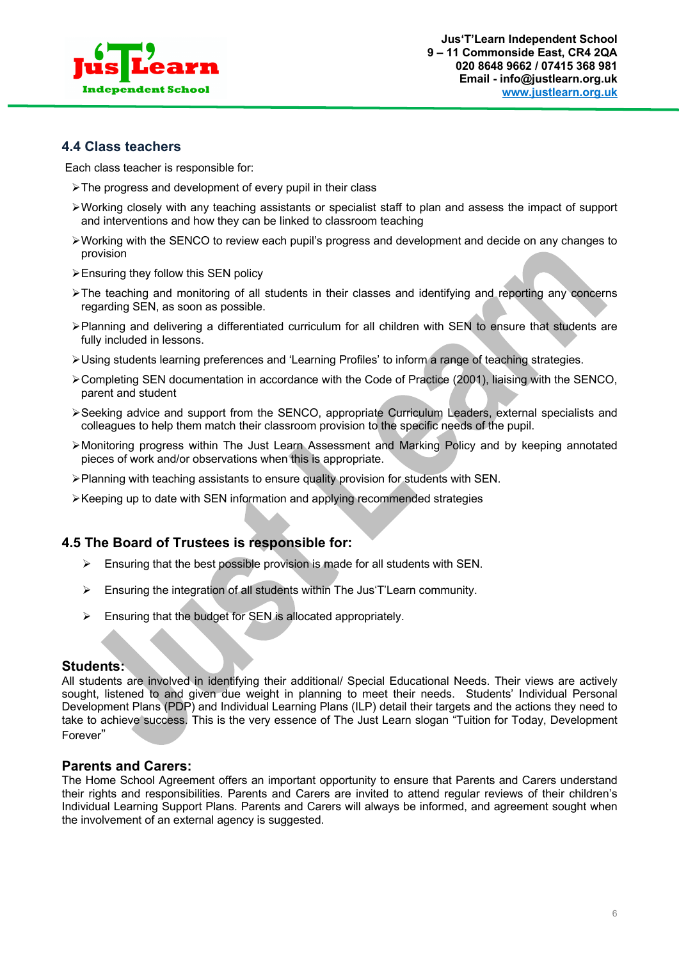

# **4.4 Class teachers**

Each class teacher is responsible for:

- ØThe progress and development of every pupil in their class
- ØWorking closely with any teaching assistants or specialist staff to plan and assess the impact of support and interventions and how they can be linked to classroom teaching
- $\triangleright$  Working with the SENCO to review each pupil's progress and development and decide on any changes to provision
- $\triangleright$  Ensuring they follow this SEN policy
- ØThe teaching and monitoring of all students in their classes and identifying and reporting any concerns regarding SEN, as soon as possible.
- ØPlanning and delivering a differentiated curriculum for all children with SEN to ensure that students are fully included in lessons.
- ØUsing students learning preferences and 'Learning Profiles' to inform a range of teaching strategies.
- ØCompleting SEN documentation in accordance with the Code of Practice (2001), liaising with the SENCO, parent and student
- $\triangleright$  Seeking advice and support from the SENCO, appropriate Curriculum Leaders, external specialists and colleagues to help them match their classroom provision to the specific needs of the pupil.
- ØMonitoring progress within The Just Learn Assessment and Marking Policy and by keeping annotated pieces of work and/or observations when this is appropriate.
- $\triangleright$  Planning with teaching assistants to ensure quality provision for students with SEN.
- $\triangleright$  Keeping up to date with SEN information and applying recommended strategies

## **4.5 The Board of Trustees is responsible for:**

- $\triangleright$  Ensuring that the best possible provision is made for all students with SEN.
- Ø Ensuring the integration of all students within The Jus'T'Learn community.
- $\triangleright$  Ensuring that the budget for SEN is allocated appropriately.

#### **Students:**

All students are involved in identifying their additional/ Special Educational Needs. Their views are actively sought, listened to and given due weight in planning to meet their needs. Students' Individual Personal Development Plans (PDP) and Individual Learning Plans (ILP) detail their targets and the actions they need to take to achieve success. This is the very essence of The Just Learn slogan "Tuition for Today, Development Forever"

#### **Parents and Carers:**

The Home School Agreement offers an important opportunity to ensure that Parents and Carers understand their rights and responsibilities. Parents and Carers are invited to attend regular reviews of their children's Individual Learning Support Plans. Parents and Carers will always be informed, and agreement sought when the involvement of an external agency is suggested.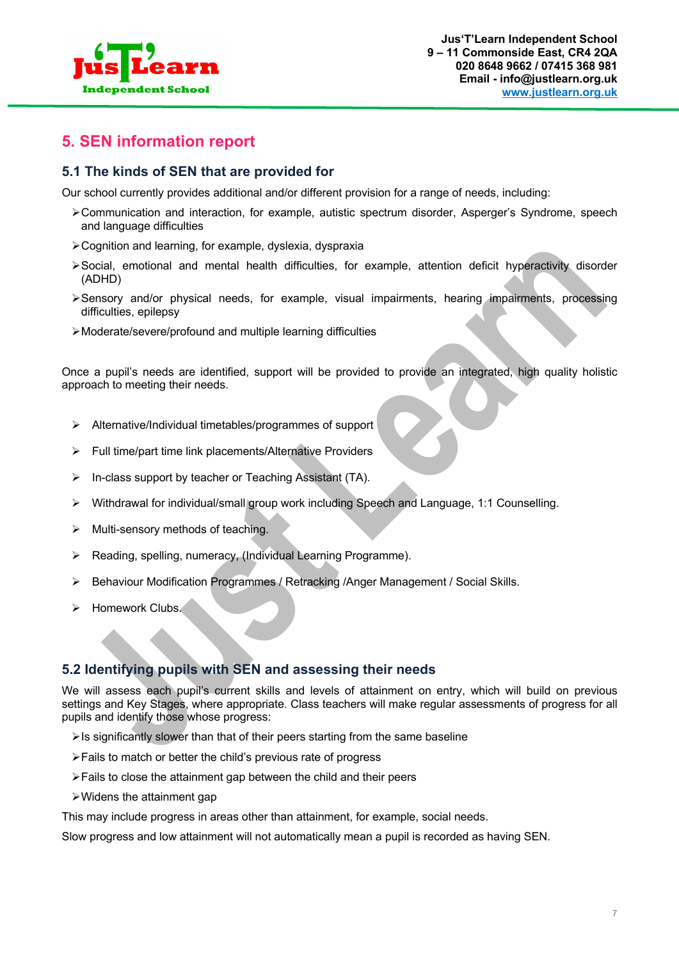

# **5. SEN information report**

# **5.1 The kinds of SEN that are provided for**

Our school currently provides additional and/or different provision for a range of needs, including:

- ØCommunication and interaction, for example, autistic spectrum disorder, Asperger's Syndrome, speech and language difficulties
- ØCognition and learning, for example, dyslexia, dyspraxia
- ØSocial, emotional and mental health difficulties, for example, attention deficit hyperactivity disorder (ADHD)
- ØSensory and/or physical needs, for example, visual impairments, hearing impairments, processing difficulties, epilepsy
- ØModerate/severe/profound and multiple learning difficulties

Once a pupil's needs are identified, support will be provided to provide an integrated, high quality holistic approach to meeting their needs.

- Ø Alternative/Individual timetables/programmes of support
- Ø Full time/part time link placements/Alternative Providers
- $\triangleright$  In-class support by teacher or Teaching Assistant (TA).
- $\triangleright$  Withdrawal for individual/small group work including Speech and Language, 1:1 Counselling.
- $\triangleright$  Multi-sensory methods of teaching.
- $\triangleright$  Reading, spelling, numeracy, (Individual Learning Programme).
- $\triangleright$  Behaviour Modification Programmes / Retracking /Anger Management / Social Skills.
- $\triangleright$  Homework Clubs.

# **5.2 Identifying pupils with SEN and assessing their needs**

We will assess each pupil's current skills and levels of attainment on entry, which will build on previous settings and Key Stages, where appropriate. Class teachers will make regular assessments of progress for all pupils and identify those whose progress:

- $\triangleright$  Is significantly slower than that of their peers starting from the same baseline
- ØFails to match or better the child's previous rate of progress
- $\triangleright$  Fails to close the attainment gap between the child and their peers
- $\triangleright$  Widens the attainment gap

This may include progress in areas other than attainment, for example, social needs.

Slow progress and low attainment will not automatically mean a pupil is recorded as having SEN.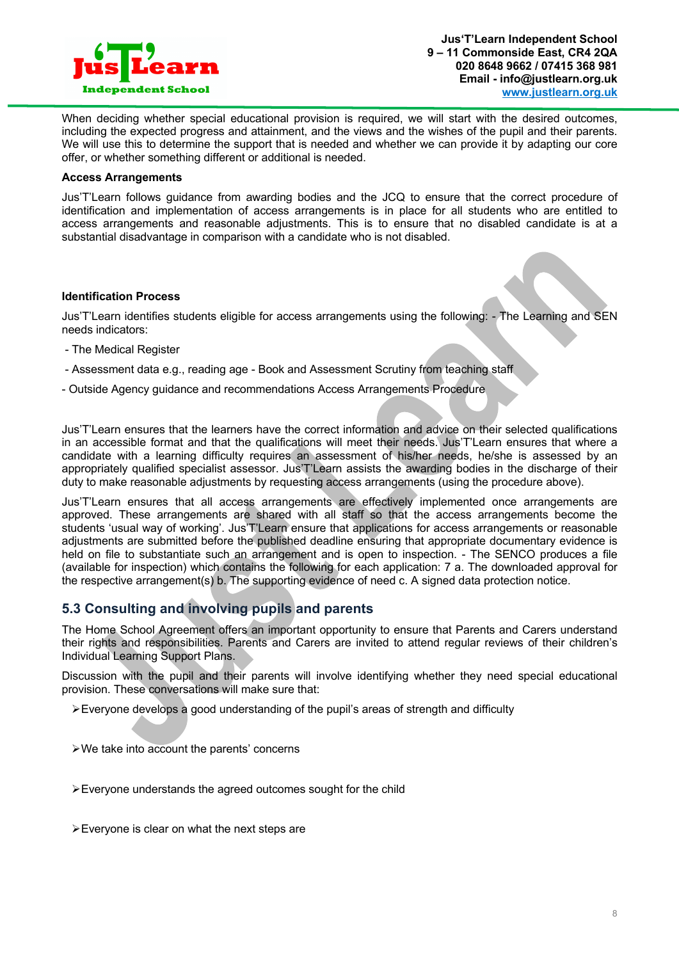

When deciding whether special educational provision is required, we will start with the desired outcomes, including the expected progress and attainment, and the views and the wishes of the pupil and their parents. We will use this to determine the support that is needed and whether we can provide it by adapting our core offer, or whether something different or additional is needed.

#### **Access Arrangements**

Jus'T'Learn follows guidance from awarding bodies and the JCQ to ensure that the correct procedure of identification and implementation of access arrangements is in place for all students who are entitled to access arrangements and reasonable adjustments. This is to ensure that no disabled candidate is at a substantial disadvantage in comparison with a candidate who is not disabled.

#### **Identification Process**

Jus'T'Learn identifies students eligible for access arrangements using the following: - The Learning and SEN needs indicators:

- The Medical Register
- Assessment data e.g., reading age Book and Assessment Scrutiny from teaching staff
- Outside Agency guidance and recommendations Access Arrangements Procedure

Jus'T'Learn ensures that the learners have the correct information and advice on their selected qualifications in an accessible format and that the qualifications will meet their needs. Jus'T'Learn ensures that where a candidate with a learning difficulty requires an assessment of his/her needs, he/she is assessed by an appropriately qualified specialist assessor. Jus'T'Learn assists the awarding bodies in the discharge of their duty to make reasonable adjustments by requesting access arrangements (using the procedure above).

Jus'T'Learn ensures that all access arrangements are effectively implemented once arrangements are approved. These arrangements are shared with all staff so that the access arrangements become the students 'usual way of working'. Jus'T'Learn ensure that applications for access arrangements or reasonable adjustments are submitted before the published deadline ensuring that appropriate documentary evidence is held on file to substantiate such an arrangement and is open to inspection. - The SENCO produces a file (available for inspection) which contains the following for each application: 7 a. The downloaded approval for the respective arrangement(s) b. The supporting evidence of need c. A signed data protection notice.

# **5.3 Consulting and involving pupils and parents**

The Home School Agreement offers an important opportunity to ensure that Parents and Carers understand their rights and responsibilities. Parents and Carers are invited to attend regular reviews of their children's Individual Learning Support Plans.

Discussion with the pupil and their parents will involve identifying whether they need special educational provision. These conversations will make sure that:

 $\geq$  Everyone develops a good understanding of the pupil's areas of strength and difficulty

- ØWe take into account the parents' concerns
- $\triangleright$  Everyone understands the agreed outcomes sought for the child
- $\triangleright$  Evervone is clear on what the next steps are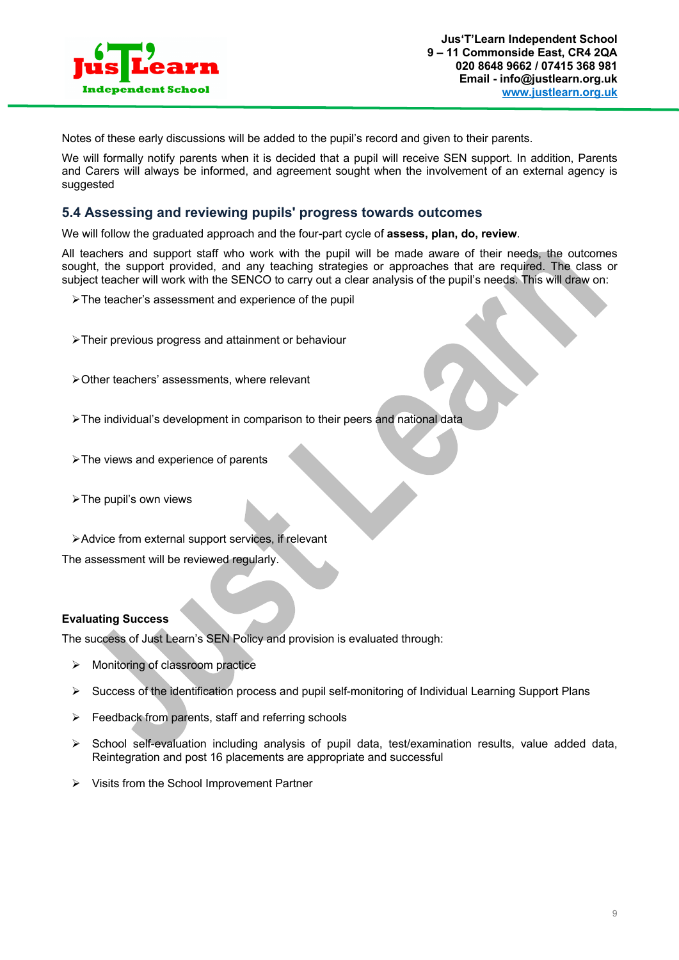

Notes of these early discussions will be added to the pupil's record and given to their parents.

We will formally notify parents when it is decided that a pupil will receive SEN support. In addition, Parents and Carers will always be informed, and agreement sought when the involvement of an external agency is suggested

## **5.4 Assessing and reviewing pupils' progress towards outcomes**

We will follow the graduated approach and the four-part cycle of **assess, plan, do, review**.

All teachers and support staff who work with the pupil will be made aware of their needs, the outcomes sought, the support provided, and any teaching strategies or approaches that are required. The class or subject teacher will work with the SENCO to carry out a clear analysis of the pupil's needs. This will draw on:

- ØThe teacher's assessment and experience of the pupil
- ØTheir previous progress and attainment or behaviour
- ØOther teachers' assessments, where relevant
- ØThe individual's development in comparison to their peers and national data
- $\triangleright$  The views and experience of parents
- $\triangleright$  The pupil's own views
- ØAdvice from external support services, if relevant

The assessment will be reviewed regularly.

#### **Evaluating Success**

The success of Just Learn's SEN Policy and provision is evaluated through:

- $\triangleright$  Monitoring of classroom practice
- $\triangleright$  Success of the identification process and pupil self-monitoring of Individual Learning Support Plans
- $\triangleright$  Feedback from parents, staff and referring schools
- $\triangleright$  School self-evaluation including analysis of pupil data, test/examination results, value added data, Reintegration and post 16 placements are appropriate and successful
- $\triangleright$  Visits from the School Improvement Partner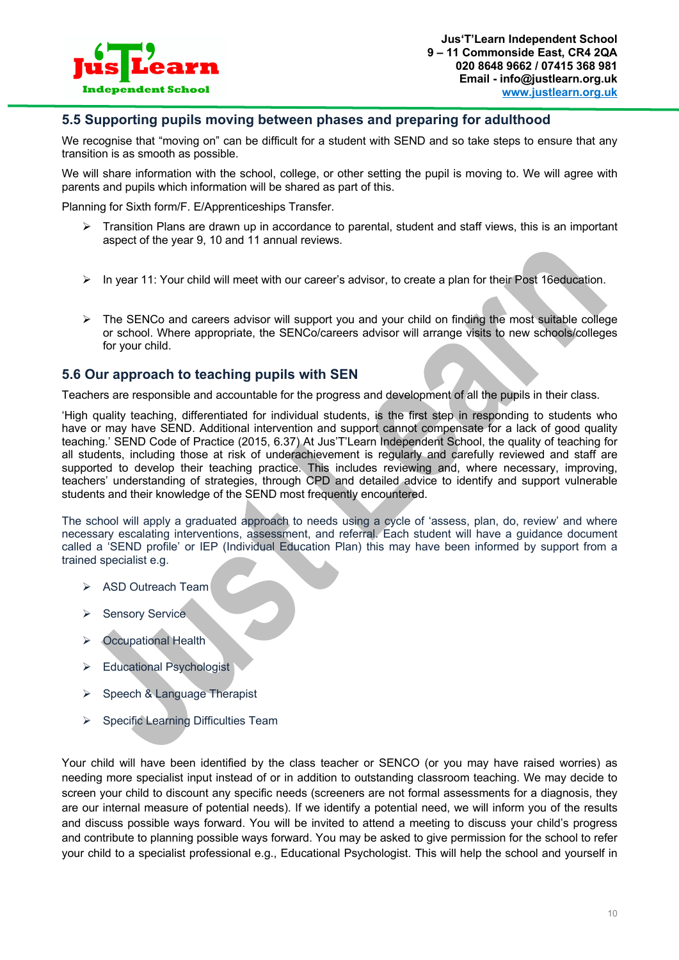

## **5.5 Supporting pupils moving between phases and preparing for adulthood**

We recognise that "moving on" can be difficult for a student with SEND and so take steps to ensure that any transition is as smooth as possible.

We will share information with the school, college, or other setting the pupil is moving to. We will agree with parents and pupils which information will be shared as part of this.

Planning for Sixth form/F. E/Apprenticeships Transfer.

- $\triangleright$  Transition Plans are drawn up in accordance to parental, student and staff views, this is an important aspect of the year 9, 10 and 11 annual reviews.
- Ø In year 11: Your child will meet with our career's advisor, to create a plan for their Post 16education.
- $\triangleright$  The SENCo and careers advisor will support you and your child on finding the most suitable college or school. Where appropriate, the SENCo/careers advisor will arrange visits to new schools/colleges for your child.

# **5.6 Our approach to teaching pupils with SEN**

Teachers are responsible and accountable for the progress and development of all the pupils in their class.

'High quality teaching, differentiated for individual students, is the first step in responding to students who have or may have SEND. Additional intervention and support cannot compensate for a lack of good quality teaching.' SEND Code of Practice (2015, 6.37) At Jus'T'Learn Independent School, the quality of teaching for all students, including those at risk of underachievement is regularly and carefully reviewed and staff are supported to develop their teaching practice. This includes reviewing and, where necessary, improving, teachers' understanding of strategies, through CPD and detailed advice to identify and support vulnerable students and their knowledge of the SEND most frequently encountered.

The school will apply a graduated approach to needs using a cycle of 'assess, plan, do, review' and where necessary escalating interventions, assessment, and referral. Each student will have a guidance document called a 'SEND profile' or IEP (Individual Education Plan) this may have been informed by support from a trained specialist e.g.

- Ø ASD Outreach Team
- **▶ Sensory Service**
- $\triangleright$  Occupational Health
- $\triangleright$  Educational Psychologist
- Speech & Language Therapist
- $\triangleright$  Specific Learning Difficulties Team

Your child will have been identified by the class teacher or SENCO (or you may have raised worries) as needing more specialist input instead of or in addition to outstanding classroom teaching. We may decide to screen your child to discount any specific needs (screeners are not formal assessments for a diagnosis, they are our internal measure of potential needs). If we identify a potential need, we will inform you of the results and discuss possible ways forward. You will be invited to attend a meeting to discuss your child's progress and contribute to planning possible ways forward. You may be asked to give permission for the school to refer your child to a specialist professional e.g., Educational Psychologist. This will help the school and yourself in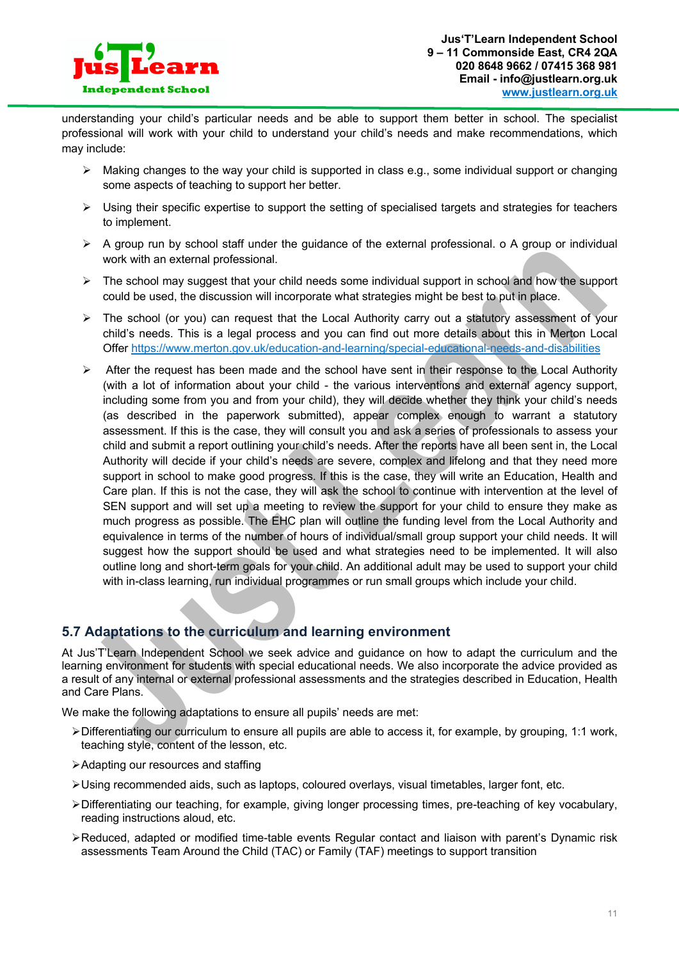

understanding your child's particular needs and be able to support them better in school. The specialist professional will work with your child to understand your child's needs and make recommendations, which may include:

- $\triangleright$  Making changes to the way your child is supported in class e.g., some individual support or changing some aspects of teaching to support her better.
- $\triangleright$  Using their specific expertise to support the setting of specialised targets and strategies for teachers to implement.
- $\triangleright$  A group run by school staff under the guidance of the external professional. o A group or individual work with an external professional.
- $\triangleright$  The school may suggest that your child needs some individual support in school and how the support could be used, the discussion will incorporate what strategies might be best to put in place.
- Ø The school (or you) can request that the Local Authority carry out a statutory assessment of your child's needs. This is a legal process and you can find out more details about this in Merton Local Offer https://www.merton.gov.uk/education-and-learning/special-educational-needs-and-disabilities
- $\triangleright$  After the request has been made and the school have sent in their response to the Local Authority (with a lot of information about your child - the various interventions and external agency support, including some from you and from your child), they will decide whether they think your child's needs (as described in the paperwork submitted), appear complex enough to warrant a statutory assessment. If this is the case, they will consult you and ask a series of professionals to assess your child and submit a report outlining your child's needs. After the reports have all been sent in, the Local Authority will decide if your child's needs are severe, complex and lifelong and that they need more support in school to make good progress. If this is the case, they will write an Education, Health and Care plan. If this is not the case, they will ask the school to continue with intervention at the level of SEN support and will set up a meeting to review the support for your child to ensure they make as much progress as possible. The EHC plan will outline the funding level from the Local Authority and equivalence in terms of the number of hours of individual/small group support your child needs. It will suggest how the support should be used and what strategies need to be implemented. It will also outline long and short-term goals for your child. An additional adult may be used to support your child with in-class learning, run individual programmes or run small groups which include your child.

# **5.7 Adaptations to the curriculum and learning environment**

At Jus'T'Learn Independent School we seek advice and guidance on how to adapt the curriculum and the learning environment for students with special educational needs. We also incorporate the advice provided as a result of any internal or external professional assessments and the strategies described in Education, Health and Care Plans.

We make the following adaptations to ensure all pupils' needs are met:

- $\triangleright$  Differentiating our curriculum to ensure all pupils are able to access it, for example, by grouping, 1:1 work, teaching style, content of the lesson, etc.
- ØAdapting our resources and staffing
- ØUsing recommended aids, such as laptops, coloured overlays, visual timetables, larger font, etc.
- ØDifferentiating our teaching, for example, giving longer processing times, pre-teaching of key vocabulary, reading instructions aloud, etc.
- ≻Reduced, adapted or modified time-table events Regular contact and liaison with parent's Dynamic risk assessments Team Around the Child (TAC) or Family (TAF) meetings to support transition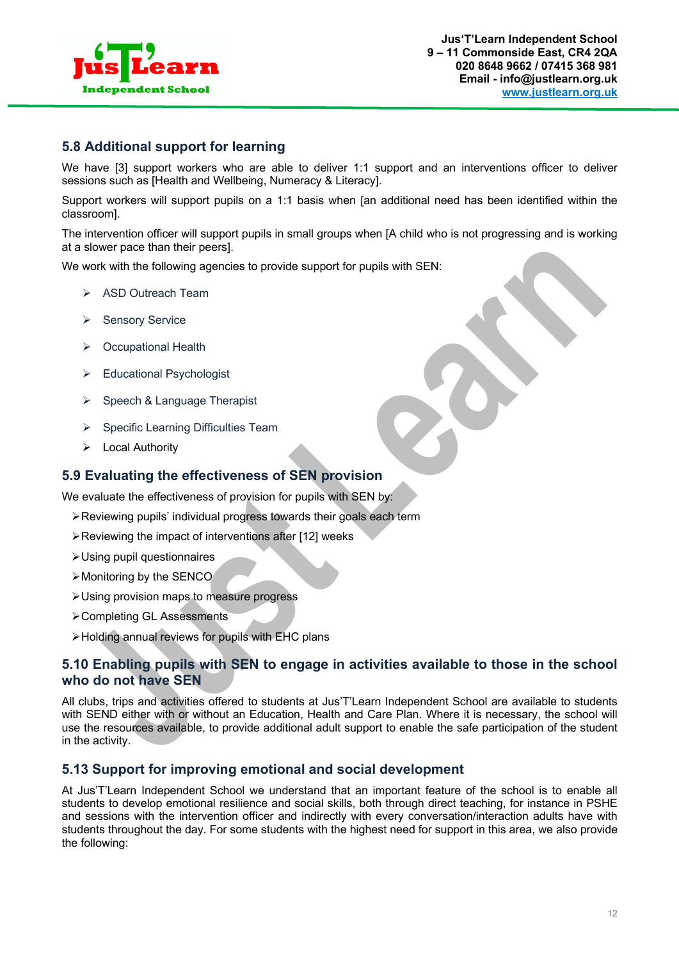

## **5.8 Additional support for learning**

We have [3] support workers who are able to deliver 1:1 support and an interventions officer to deliver sessions such as [Health and Wellbeing, Numeracy & Literacy].

Support workers will support pupils on a 1:1 basis when [an additional need has been identified within the classroom].

The intervention officer will support pupils in small groups when [A child who is not progressing and is working at a slower pace than their peers].

We work with the following agencies to provide support for pupils with SEN:

- Ø ASD Outreach Team
- **▶ Sensory Service**
- $\triangleright$  Occupational Health
- Ø Educational Psychologist
- $\triangleright$  Speech & Language Therapist
- $\triangleright$  Specific Learning Difficulties Team
- $\triangleright$  Local Authority

### **5.9 Evaluating the effectiveness of SEN provision**

We evaluate the effectiveness of provision for pupils with SEN by:

- ØReviewing pupils' individual progress towards their goals each term
- $\triangleright$  Reviewing the impact of interventions after [12] weeks
- ØUsing pupil questionnaires
- ØMonitoring by the SENCO
- ØUsing provision maps to measure progress
- ØCompleting GL Assessments
- ØHolding annual reviews for pupils with EHC plans

# **5.10 Enabling pupils with SEN to engage in activities available to those in the school who do not have SEN**

All clubs, trips and activities offered to students at Jus'T'Learn Independent School are available to students with SEND either with or without an Education, Health and Care Plan. Where it is necessary, the school will use the resources available, to provide additional adult support to enable the safe participation of the student in the activity.

## **5.13 Support for improving emotional and social development**

At Jus'T'Learn Independent School we understand that an important feature of the school is to enable all students to develop emotional resilience and social skills, both through direct teaching, for instance in PSHE and sessions with the intervention officer and indirectly with every conversation/interaction adults have with students throughout the day. For some students with the highest need for support in this area, we also provide the following: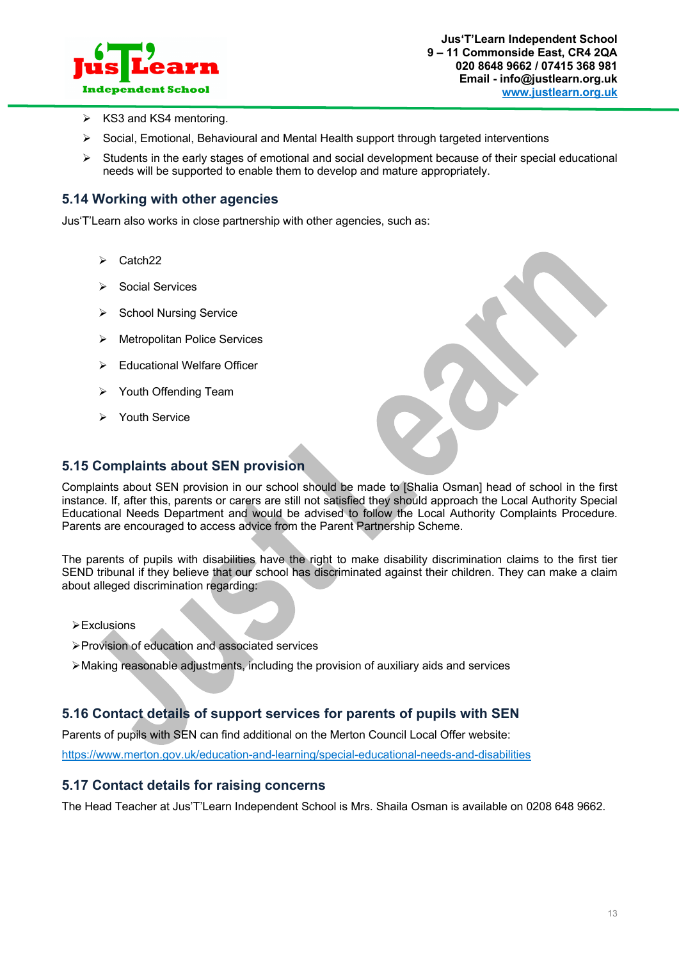

- $\triangleright$  KS3 and KS4 mentoring.
- $\triangleright$  Social, Emotional, Behavioural and Mental Health support through targeted interventions
- $\triangleright$  Students in the early stages of emotional and social development because of their special educational needs will be supported to enable them to develop and mature appropriately.

## **5.14 Working with other agencies**

Jus'T'Learn also works in close partnership with other agencies, such as:

- $\triangleright$  Catch22
- Social Services
- $\triangleright$  School Nursing Service
- $\triangleright$  Metropolitan Police Services
- $\triangleright$  Educational Welfare Officer
- Ø Youth Offending Team
- Ø Youth Service

# **5.15 Complaints about SEN provision**

Complaints about SEN provision in our school should be made to [Shalia Osman] head of school in the first instance. If, after this, parents or carers are still not satisfied they should approach the Local Authority Special Educational Needs Department and would be advised to follow the Local Authority Complaints Procedure. Parents are encouraged to access advice from the Parent Partnership Scheme.

The parents of pupils with disabilities have the right to make disability discrimination claims to the first tier SEND tribunal if they believe that our school has discriminated against their children. They can make a claim about alleged discrimination regarding:

- $\triangleright$  Exclusions
- ØProvision of education and associated services
- $\triangleright$  Making reasonable adjustments, including the provision of auxiliary aids and services

## **5.16 Contact details of support services for parents of pupils with SEN**

Parents of pupils with SEN can find additional on the Merton Council Local Offer website:

https://www.merton.gov.uk/education-and-learning/special-educational-needs-and-disabilities

#### **5.17 Contact details for raising concerns**

The Head Teacher at Jus'T'Learn Independent School is Mrs. Shaila Osman is available on 0208 648 9662.